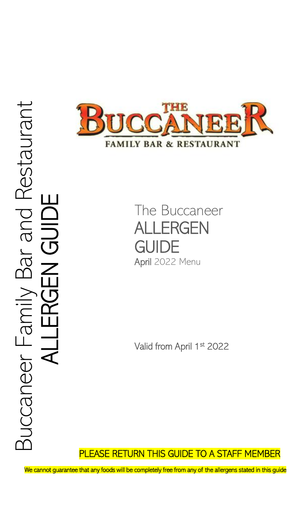

Buccaneer Family Bar and Restaurant Bar and Restaurant ALLERGEN GUIDE  $\overline{\mathbf{\mathsf{C}}}$ Succaneer Family

The Buccaneer ALLERGEN **GUIDE** April 2022 Menu

Valid from April 1st 2022

PLEASE RETURN THIS GUIDE TO A STAFF MEMBER

We cannot guarantee that any foods will be completely free from any of the allergens stated in this guide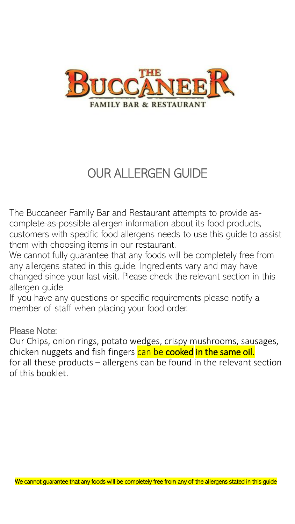

# OUR ALLERGEN GUIDE

The Buccaneer Family Bar and Restaurant attempts to provide ascomplete-as-possible allergen information about its food products, customers with specific food allergens needs to use this guide to assist them with choosing items in our restaurant.

We cannot fully guarantee that any foods will be completely free from any allergens stated in this guide. Ingredients vary and may have changed since your last visit. Please check the relevant section in this allergen guide

If you have any questions or specific requirements please notify a member of staff when placing your food order.

Please Note:

Our Chips, onion rings, potato wedges, crispy mushrooms, sausages, chicken nuggets and fish fingers can be cooked in the same oil. for all these products – allergens can be found in the relevant section of this booklet.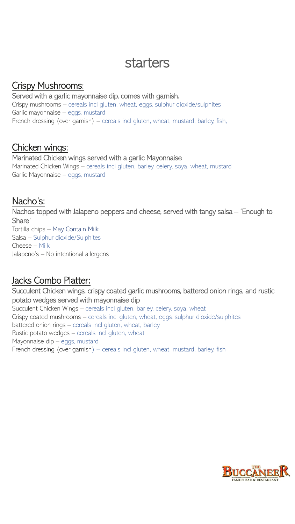## starters

### Crispy Mushrooms:

#### Served with a garlic mayonnaise dip, comes with garnish.

Crispy mushrooms – cereals incl gluten, wheat, eggs, sulphur dioxide/sulphites Garlic mayonnaise – eggs, mustard French dressing (over garnish) – cereals incl gluten, wheat, mustard, barley, fish,

#### Chicken wings:

#### Marinated Chicken wings served with a garlic Mayonnaise

Marinated Chicken Wings – cereals incl gluten, barley, celery, soya, wheat, mustard Garlic Mayonnaise – eggs, mustard

#### Nacho's:

Nachos topped with Jalapeno peppers and cheese, served with tangy salsa – 'Enough to Share'

Tortilla chips – May Contain Milk Salsa – Sulphur dioxide/Sulphites Cheese – Milk Jalapeno's – No intentional allergens

### Jacks Combo Platter:

Succulent Chicken wings, crispy coated garlic mushrooms, battered onion rings, and rustic potato wedges served with mayonnaise dip

Succulent Chicken Wings – cereals incl gluten, barley, celery, soya, wheat Crispy coated mushrooms – cereals incl gluten, wheat, eggs, sulphur dioxide/sulphites battered onion rings – cereals incl gluten, wheat, barley Rustic potato wedges – cereals incl gluten, wheat Mayonnaise dip – eggs, mustard French dressing (over garnish) – cereals incl gluten, wheat, mustard, barley, fish

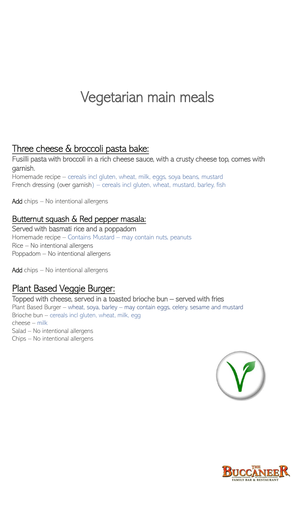# Vegetarian main meals

#### Three cheese & broccoli pasta bake:

Fusilli pasta with broccoli in a rich cheese sauce, with a crusty cheese top, comes with garnish.

Homemade recipe – cereals incl gluten, wheat, milk, eggs, soya beans, mustard French dressing (over garnish) – cereals incl gluten, wheat, mustard, barley, fish

Add chips - No intentional allergens

#### Butternut squash & Red pepper masala:

Served with basmati rice and a poppadom Homemade recipe – Contains Mustard – may contain nuts, peanuts Rice – No intentional allergens Poppadom – No intentional allergens

Add chips – No intentional allergens

#### Plant Based Veggie Burger:

Topped with cheese, served in a toasted brioche bun – served with fries Plant Based Burger – wheat, soya, barley – may contain eggs, celery, sesame and mustard Brioche bun – cereals incl gluten, wheat, milk, egg

cheese – milk

Salad – No intentional allergens

Chips – No intentional allergens



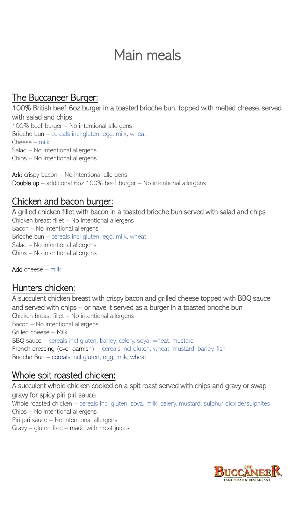## Main meals

#### The Buccaneer Burger:

100% British beef 6oz burger in a toasted brioche bun, topped with melted cheese, served with salad and chips 100% beef burger – No intentional allergens Brioche bun – cereals incl gluten, egg, milk, wheat Cheese – milk Salad – No intentional allergens

Chips – No intentional allergens

Add crispy bacon - No intentional allergens Double up – additional 6oz 100% beef burger – No intentional allergens

#### Chicken and bacon burger:

A grilled chicken fillet with bacon in a toasted brioche bun served with salad and chips Chicken breast fillet – No intentional allergens Bacon – No intentional allergens Brioche bun – cereals incl gluten, egg, milk, wheat Salad – No intentional allergens Chips – No intentional allergens

Add cheese – milk

#### Hunters chicken:

A succulent chicken breast with crispy bacon and grilled cheese topped with BBQ sauce and served with chips – or have it served as a burger in a toasted brioche bun Chicken breast fillet – No intentional allergens

Bacon – No intentional allergens Grilled cheese – Milk BBQ sauce – cereals incl gluten, barley, celery, soya, wheat, mustard French dressing (over garnish) – cereals incl gluten, wheat, mustard, barley, fish Brioche Bun – cereals incl gluten, egg, milk, wheat

#### Whole spit roasted chicken:

A succulent whole chicken cooked on a spit roast served with chips and gravy or swap gravy for spicy piri piri sauce

Whole roasted chicken - cereals incl gluten, soya, milk, celery, mustard, sulphur dioxide/sulphites Chips – No intentional allergens

Piri piri sauce – No intentional allergens

Gravy – gluten free – made with meat juices

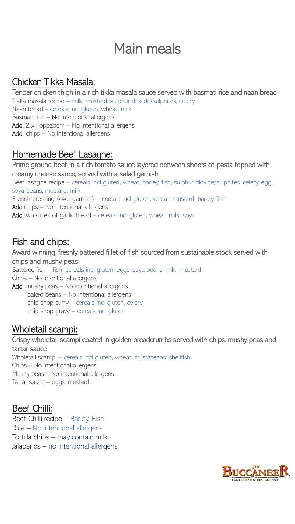# Main meals

#### Chicken Tikka Masala:

Tender chicken thigh in a rich tikka masala sauce served with basmati rice and naan bread Tikka masala recipe – milk, mustard, sulphur dioxide/sulphites, celery

Naan bread – cereals incl gluten, wheat, milk

Basmati rice – No intentional allergens

Add: 2 x Poppadom - No intentional allergens

Add chips – No intentional allergens

#### Homemade Beef Lasagne:

Prime ground beef in a rich tomato sauce layered between sheets of pasta topped with creamy cheese sauce, served with a salad garnish

Beef lasagne recipe – cereals incl gluten, wheat, barley, fish, sulphur dioxide/sulphites, celery, egg, soya beans, mustard, milk

French dressing (over garnish) – cereals incl gluten, wheat, mustard, barley, fish

Add chips – No intentional allergens

Add two slices of garlic bread  $-$  cereals incl gluten, wheat, milk, soya

#### Fish and chips:

#### Award winning, freshly battered fillet of fish sourced from sustainable stock served with chips and mushy peas

Battered fish – fish, cereals incl gluten, eggs, soya beans, milk, mustard Chips – No intentional allergens

Add mushy peas - No intentional allergens baked beans – No intentional allergens chip shop curry – cereals incl gluten, celery chip shop gravy – cereals incl gluten

#### Wholetail scampi:

Crispy wholetail scampi coated in golden breadcrumbs served with chips, mushy peas and tartar sauce

Wholetail scampi – cereals incl gluten, wheat, crustaceans, shellfish Chips – No intentional allergens Mushy peas – No intentional allergens Tartar sauce – eggs, mustard

#### Beef Chilli:

Beef Chilli recipe – Barley, Fish Rice – No intentional allergens Tortilla chips – may contain milk Jalapenos – no intentional allergens

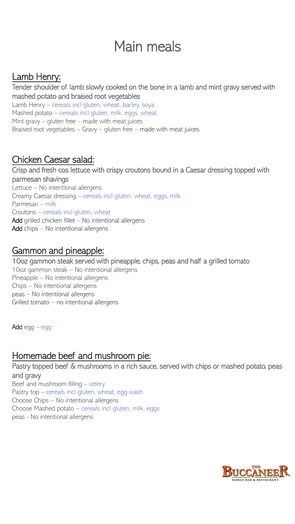# Main meals

#### Lamb Henry:

Tender shoulder of lamb slowly cooked on the bone in a lamb and mint gravy served with mashed potato and braised root vegetables

Lamb Henry – cereals incl gluten, wheat, barley, soya Mashed potato – cereals incl gluten, milk, eggs, wheat Mint gravy – gluten free – made with meat juices Braised root vegetables – Gravy – gluten free – made with meat juices

#### Chicken Caesar salad:

Crisp and fresh cos lettuce with crispy croutons bound in a Caesar dressing topped with parmesan shavings

Lettuce – No intentional allergens Creamy Caesar dressing – cereals incl gluten, wheat, eggs, milk Parmesan – milk Croutons – cereals incl gluten, wheat Add grilled chicken fillet - No intentional allergens Add chips – No intentional allergens

#### Gammon and pineapple:

10oz gammon steak served with pineapple, chips, peas and half a grilled tomato 10oz gammon steak – No intentional allergens Pineapple – No intentional allergens Chips – No intentional allergens peas – No intentional allergens Grilled tomato – no intentional allergens

Add  $egg - egg$ 

#### Homemade beef and mushroom pie:

Pastry topped beef & mushrooms in a rich sauce, served with chips or mashed potato, peas and gravy

Beef and mushroom filling – celery Pastry top – cereals incl gluten, wheat, egg wash Choose Chips – No intentional allergens Choose Mashed potato – cereals incl gluten, milk, eggs peas - No intentional allergens

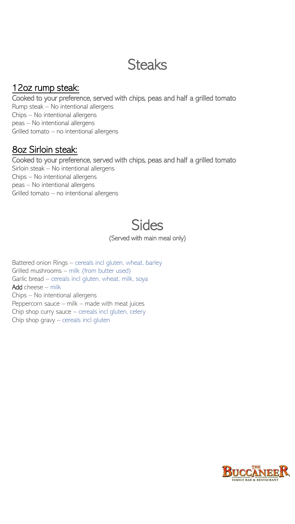## **Steaks**

#### 12oz rump steak:

Cooked to your preference, served with chips, peas and half a grilled tomato Rump steak – No intentional allergens Chips – No intentional allergens peas – No intentional allergens Grilled tomato – no intentional allergens

#### 8oz Sirloin steak:

Cooked to your preference, served with chips, peas and half a grilled tomato Sirloin steak – No intentional allergens Chips – No intentional allergens peas – No intentional allergens Grilled tomato – no intentional allergens

## **Sides**

#### (Served with main meal only)

Battered onion Rings – cereals incl gluten, wheat, barley Grilled mushrooms – milk (from butter used) Garlic bread – cereals incl gluten, wheat, milk, soya Add cheese – milk Chips – No intentional allergens Peppercorn sauce – milk – made with meat juices Chip shop curry sauce – cereals incl gluten, celery Chip shop gravy – cereals incl gluten

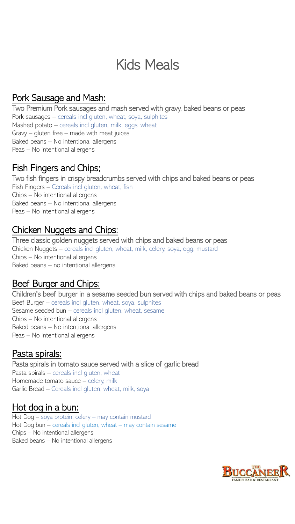# Kids Meals

#### Pork Sausage and Mash:

Two Premium Pork sausages and mash served with gravy, baked beans or peas Pork sausages – cereals incl gluten, wheat, soya, sulphites Mashed potato – cereals incl gluten, milk, eggs, wheat Gravy – gluten free – made with meat juices Baked beans – No intentional allergens Peas – No intentional allergens

### Fish Fingers and Chips;

Two fish fingers in crispy breadcrumbs served with chips and baked beans or peas Fish Fingers – Cereals incl gluten, wheat, fish Chips – No intentional allergens Baked beans – No intentional allergens Peas – No intentional allergens

### Chicken Nuggets and Chips:

Three classic golden nuggets served with chips and baked beans or peas Chicken Nuggets – cereals incl gluten, wheat, milk, celery, soya, egg, mustard Chips – No intentional allergens Baked beans – no intentional allergens

### Beef Burger and Chips:

Children's beef burger in a sesame seeded bun served with chips and baked beans or peas Beef Burger – cereals incl gluten, wheat, soya, sulphites Sesame seeded bun – cereals incl gluten, wheat, sesame Chips – No intentional allergens Baked beans – No intentional allergens Peas – No intentional allergens

#### Pasta spirals:

Pasta spirals in tomato sauce served with a slice of garlic bread Pasta spirals – cereals incl gluten, wheat Homemade tomato sauce – celery, milk Garlic Bread – Cereals incl gluten, wheat, milk, soya

### Hot dog in a bun:

Hot Dog – soya protein, celery – may contain mustard Hot Dog bun – cereals incl gluten, wheat – may contain sesame Chips – No intentional allergens Baked beans – No intentional allergens

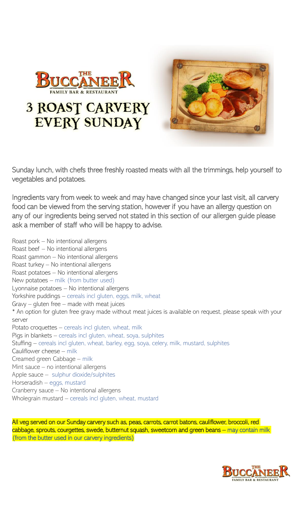



# **3 ROAST CARVERY EVERY SUNDAY**

Sunday lunch, with chefs three freshly roasted meats with all the trimmings, help yourself to vegetables and potatoes.

Ingredients vary from week to week and may have changed since your last visit, all carvery food can be viewed from the serving station, however if you have an allergy question on any of our ingredients being served not stated in this section of our allergen guide please ask a member of staff who will be happy to advise.

Roast pork – No intentional allergens Roast beef – No intentional allergens Roast gammon – No intentional allergens Roast turkey – No intentional allergens Roast potatoes – No intentional allergens New potatoes – milk (from butter used) Lyonnaise potatoes – No intentional allergens Yorkshire puddings – cereals incl gluten, eggs, milk, wheat Gravy  $-$  gluten free  $-$  made with meat juices \* An option for gluten free gravy made without meat juices is available on request, please speak with your server Potato croquettes – cereals incl gluten, wheat, milk Pigs in blankets – cereals incl gluten, wheat, soya, sulphites Stuffing – cereals incl gluten, wheat, barley, egg, soya, celery, milk, mustard, sulphites Cauliflower cheese – milk Creamed green Cabbage – milk Mint sauce – no intentional allergens Apple sauce – sulphur dioxide/sulphites Horseradish – eggs, mustard Cranberry sauce – No intentional allergens Wholegrain mustard – cereals incl gluten, wheat, mustard

All veg served on our Sunday carvery such as, peas, carrots, carrot batons, cauliflower, broccoli, red cabbage, sprouts, courgettes, swede, butternut squash, sweetcorn and green beans – may contain milk (from the butter used in our carvery ingredients)